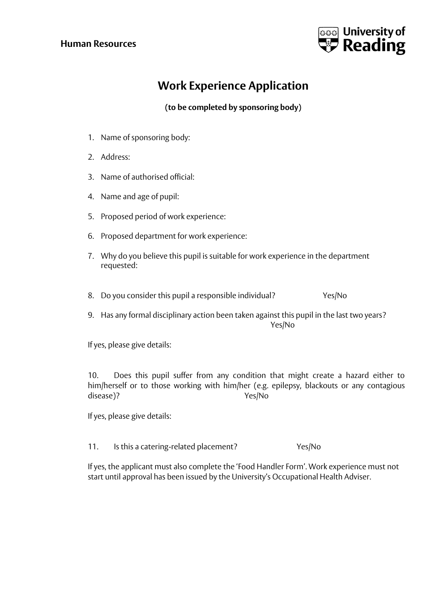## **Human Resources**



## **Work Experience Application**

**(to be completed by sponsoring body)**

- 1. Name of sponsoring body:
- 2. Address:
- 3. Name of authorised official:
- 4. Name and age of pupil:
- 5. Proposed period of work experience:
- 6. Proposed department for work experience:
- 7. Why do you believe this pupil is suitable for work experience in the department requested:
- 8. Do you consider this pupil a responsible individual? Yes/No
- 9. Has any formal disciplinary action been taken against this pupil in the last two years? Yes/No

If yes, please give details:

10. Does this pupil suffer from any condition that might create a hazard either to him/herself or to those working with him/her (e.g. epilepsy, blackouts or any contagious disease)? Yes/No

If yes, please give details:

11. Is this a catering-related placement? Yes/No

If yes, the applicant must also complete the 'Food Handler Form'. Work experience must not start until approval has been issued by the University's Occupational Health Adviser.